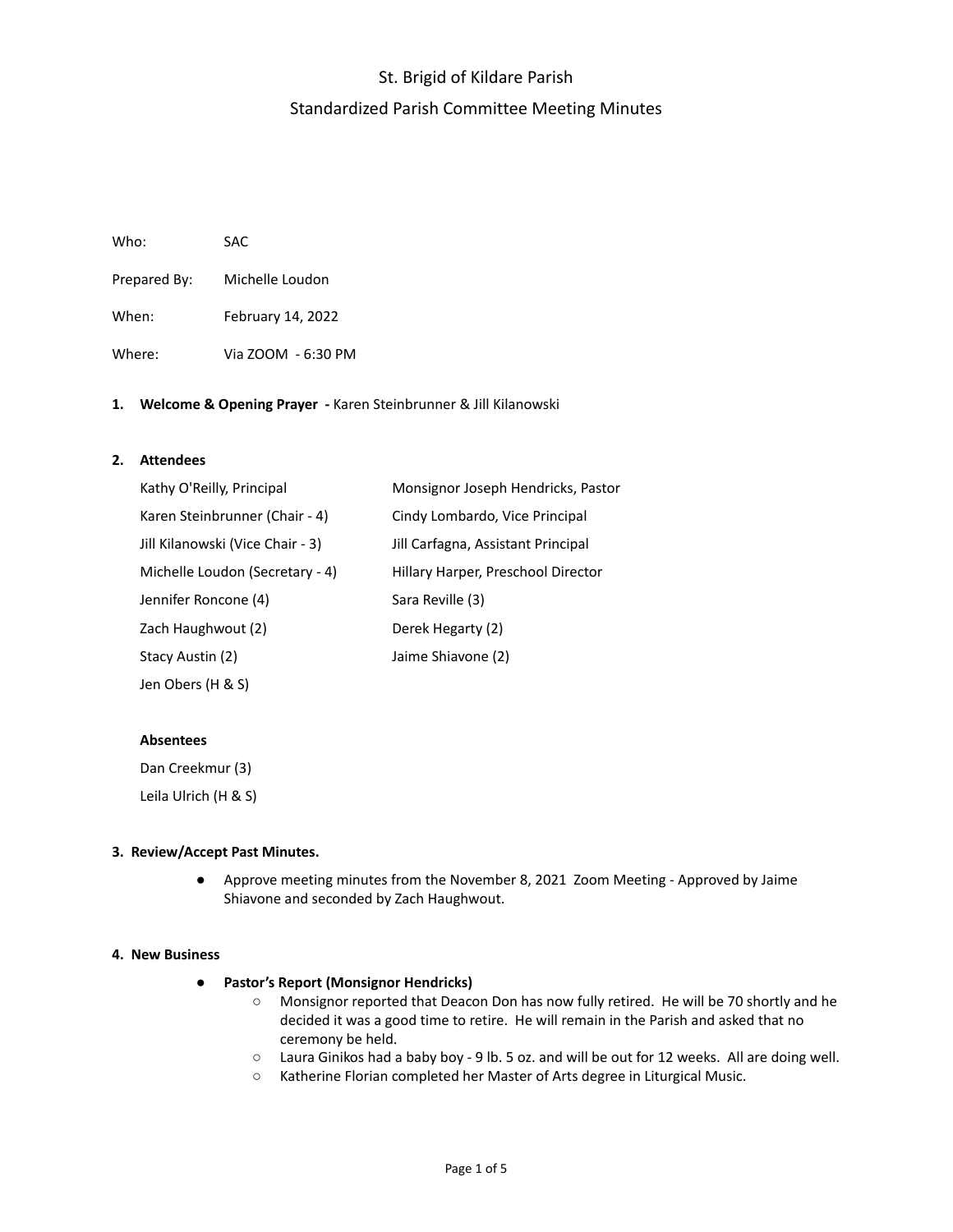# St. Brigid of Kildare Parish Standardized Parish Committee Meeting Minutes

| Who:         | SAC.               |
|--------------|--------------------|
| Prepared By: | Michelle Loudon    |
| When:        | February 14, 2022  |
| Where:       | Via ZOOM - 6:30 PM |

### **1. Welcome & Opening Prayer -** Karen Steinbrunner & Jill Kilanowski

### **2. Attendees**

| Kathy O'Reilly, Principal        | Monsignor Joseph Hendricks, Pastor |
|----------------------------------|------------------------------------|
| Karen Steinbrunner (Chair - 4)   | Cindy Lombardo, Vice Principal     |
| Jill Kilanowski (Vice Chair - 3) | Jill Carfagna, Assistant Principal |
| Michelle Loudon (Secretary - 4)  | Hillary Harper, Preschool Director |
| Jennifer Roncone (4)             | Sara Reville (3)                   |
| Zach Haughwout (2)               | Derek Hegarty (2)                  |
| Stacy Austin (2)                 | Jaime Shiavone (2)                 |
| Jen Obers (H & S)                |                                    |

#### **Absentees**

Dan Creekmur (3) Leila Ulrich (H & S)

#### **3. Review/Accept Past Minutes.**

● Approve meeting minutes from the November 8, 2021 Zoom Meeting - Approved by Jaime Shiavone and seconded by Zach Haughwout.

#### **4. New Business**

- **● Pastor's Report (Monsignor Hendricks)**
	- Monsignor reported that Deacon Don has now fully retired. He will be 70 shortly and he decided it was a good time to retire. He will remain in the Parish and asked that no ceremony be held.
	- Laura Ginikos had a baby boy 9 lb. 5 oz. and will be out for 12 weeks. All are doing well.
	- Katherine Florian completed her Master of Arts degree in Liturgical Music.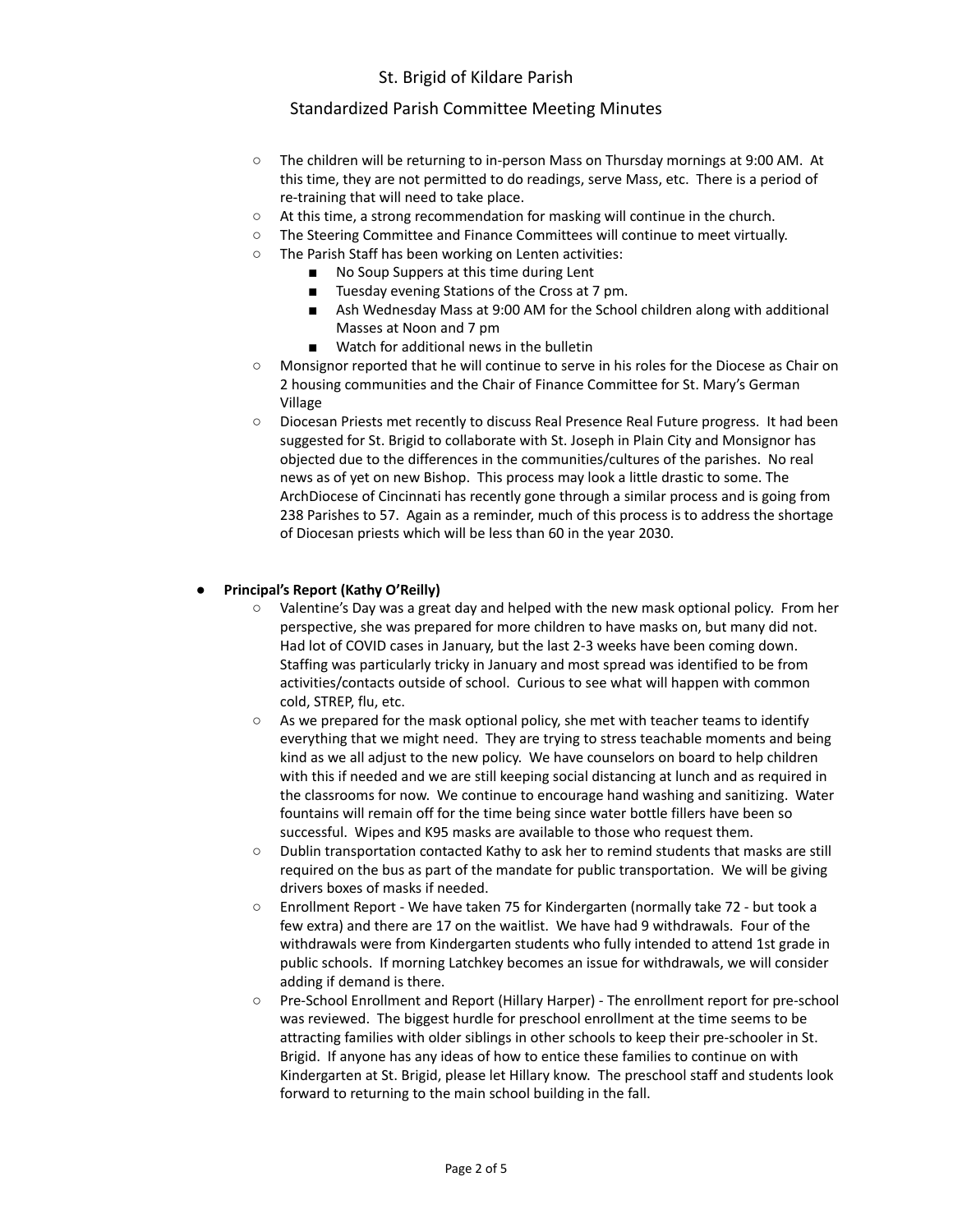### Standardized Parish Committee Meeting Minutes

- The children will be returning to in-person Mass on Thursday mornings at 9:00 AM. At this time, they are not permitted to do readings, serve Mass, etc. There is a period of re-training that will need to take place.
- At this time, a strong recommendation for masking will continue in the church.
- The Steering Committee and Finance Committees will continue to meet virtually.
- The Parish Staff has been working on Lenten activities:
	- No Soup Suppers at this time during Lent
		- Tuesday evening Stations of the Cross at 7 pm.
		- Ash Wednesday Mass at 9:00 AM for the School children along with additional Masses at Noon and 7 pm
		- Watch for additional news in the bulletin
- Monsignor reported that he will continue to serve in his roles for the Diocese as Chair on 2 housing communities and the Chair of Finance Committee for St. Mary's German Village
- Diocesan Priests met recently to discuss Real Presence Real Future progress. It had been suggested for St. Brigid to collaborate with St. Joseph in Plain City and Monsignor has objected due to the differences in the communities/cultures of the parishes. No real news as of yet on new Bishop. This process may look a little drastic to some. The ArchDiocese of Cincinnati has recently gone through a similar process and is going from 238 Parishes to 57. Again as a reminder, much of this process is to address the shortage of Diocesan priests which will be less than 60 in the year 2030.

### **● Principal's Report (Kathy O'Reilly)**

- Valentine's Day was a great day and helped with the new mask optional policy. From her perspective, she was prepared for more children to have masks on, but many did not. Had lot of COVID cases in January, but the last 2-3 weeks have been coming down. Staffing was particularly tricky in January and most spread was identified to be from activities/contacts outside of school. Curious to see what will happen with common cold, STREP, flu, etc.
- $\circ$  As we prepared for the mask optional policy, she met with teacher teams to identify everything that we might need. They are trying to stress teachable moments and being kind as we all adjust to the new policy. We have counselors on board to help children with this if needed and we are still keeping social distancing at lunch and as required in the classrooms for now. We continue to encourage hand washing and sanitizing. Water fountains will remain off for the time being since water bottle fillers have been so successful. Wipes and K95 masks are available to those who request them.
- Dublin transportation contacted Kathy to ask her to remind students that masks are still required on the bus as part of the mandate for public transportation. We will be giving drivers boxes of masks if needed.
- Enrollment Report We have taken 75 for Kindergarten (normally take 72 but took a few extra) and there are 17 on the waitlist. We have had 9 withdrawals. Four of the withdrawals were from Kindergarten students who fully intended to attend 1st grade in public schools. If morning Latchkey becomes an issue for withdrawals, we will consider adding if demand is there.
- Pre-School Enrollment and Report (Hillary Harper) The enrollment report for pre-school was reviewed. The biggest hurdle for preschool enrollment at the time seems to be attracting families with older siblings in other schools to keep their pre-schooler in St. Brigid. If anyone has any ideas of how to entice these families to continue on with Kindergarten at St. Brigid, please let Hillary know. The preschool staff and students look forward to returning to the main school building in the fall.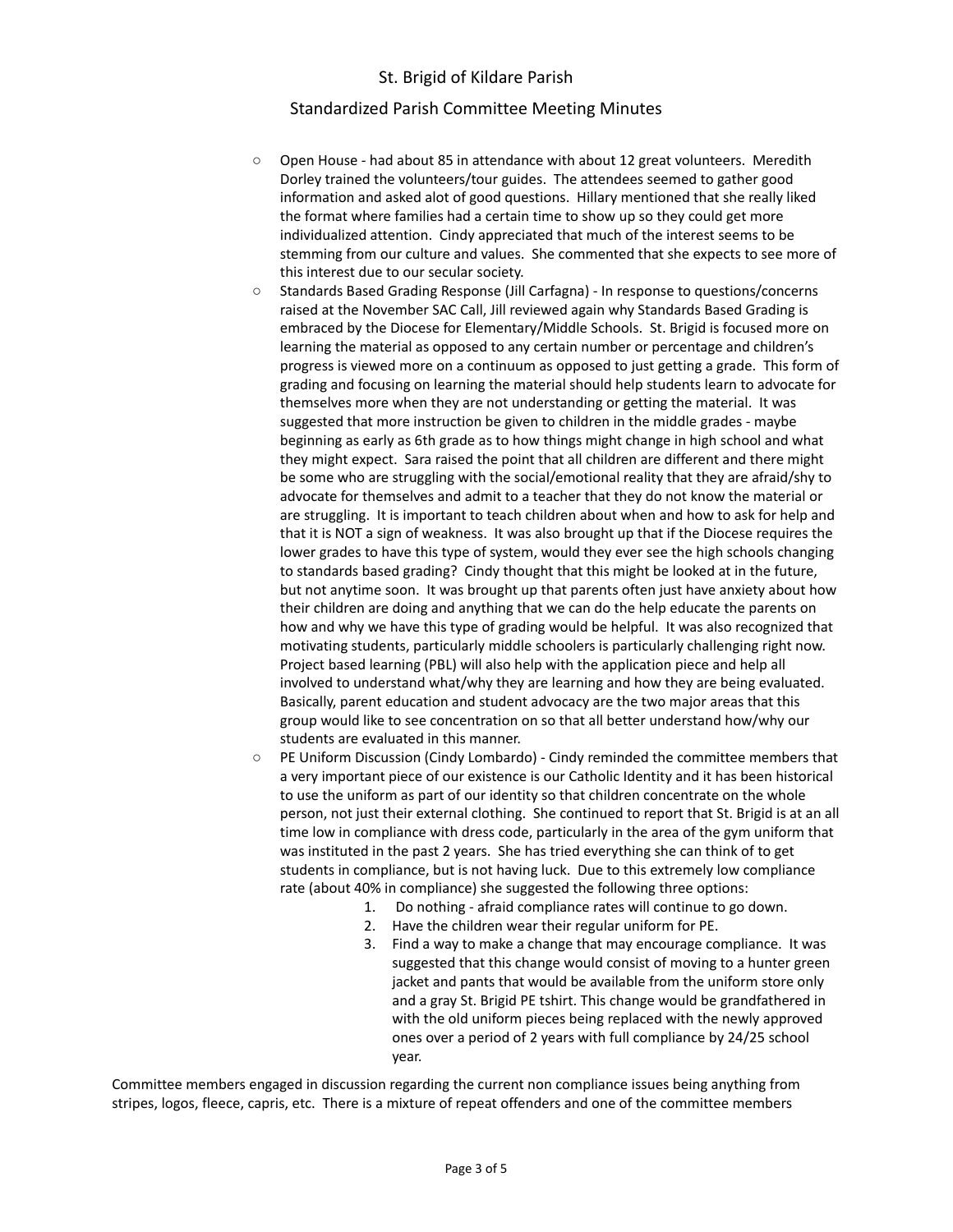### Standardized Parish Committee Meeting Minutes

- Open House had about 85 in attendance with about 12 great volunteers. Meredith Dorley trained the volunteers/tour guides. The attendees seemed to gather good information and asked alot of good questions. Hillary mentioned that she really liked the format where families had a certain time to show up so they could get more individualized attention. Cindy appreciated that much of the interest seems to be stemming from our culture and values. She commented that she expects to see more of this interest due to our secular society.
- Standards Based Grading Response (Jill Carfagna) In response to questions/concerns raised at the November SAC Call, Jill reviewed again why Standards Based Grading is embraced by the Diocese for Elementary/Middle Schools. St. Brigid is focused more on learning the material as opposed to any certain number or percentage and children's progress is viewed more on a continuum as opposed to just getting a grade. This form of grading and focusing on learning the material should help students learn to advocate for themselves more when they are not understanding or getting the material. It was suggested that more instruction be given to children in the middle grades - maybe beginning as early as 6th grade as to how things might change in high school and what they might expect. Sara raised the point that all children are different and there might be some who are struggling with the social/emotional reality that they are afraid/shy to advocate for themselves and admit to a teacher that they do not know the material or are struggling. It is important to teach children about when and how to ask for help and that it is NOT a sign of weakness. It was also brought up that if the Diocese requires the lower grades to have this type of system, would they ever see the high schools changing to standards based grading? Cindy thought that this might be looked at in the future, but not anytime soon. It was brought up that parents often just have anxiety about how their children are doing and anything that we can do the help educate the parents on how and why we have this type of grading would be helpful. It was also recognized that motivating students, particularly middle schoolers is particularly challenging right now. Project based learning (PBL) will also help with the application piece and help all involved to understand what/why they are learning and how they are being evaluated. Basically, parent education and student advocacy are the two major areas that this group would like to see concentration on so that all better understand how/why our students are evaluated in this manner.
- PE Uniform Discussion (Cindy Lombardo) Cindy reminded the committee members that a very important piece of our existence is our Catholic Identity and it has been historical to use the uniform as part of our identity so that children concentrate on the whole person, not just their external clothing. She continued to report that St. Brigid is at an all time low in compliance with dress code, particularly in the area of the gym uniform that was instituted in the past 2 years. She has tried everything she can think of to get students in compliance, but is not having luck. Due to this extremely low compliance rate (about 40% in compliance) she suggested the following three options:
	- 1. Do nothing afraid compliance rates will continue to go down.
	- 2. Have the children wear their regular uniform for PE.
	- 3. Find a way to make a change that may encourage compliance. It was suggested that this change would consist of moving to a hunter green jacket and pants that would be available from the uniform store only and a gray St. Brigid PE tshirt. This change would be grandfathered in with the old uniform pieces being replaced with the newly approved ones over a period of 2 years with full compliance by 24/25 school year.

Committee members engaged in discussion regarding the current non compliance issues being anything from stripes, logos, fleece, capris, etc. There is a mixture of repeat offenders and one of the committee members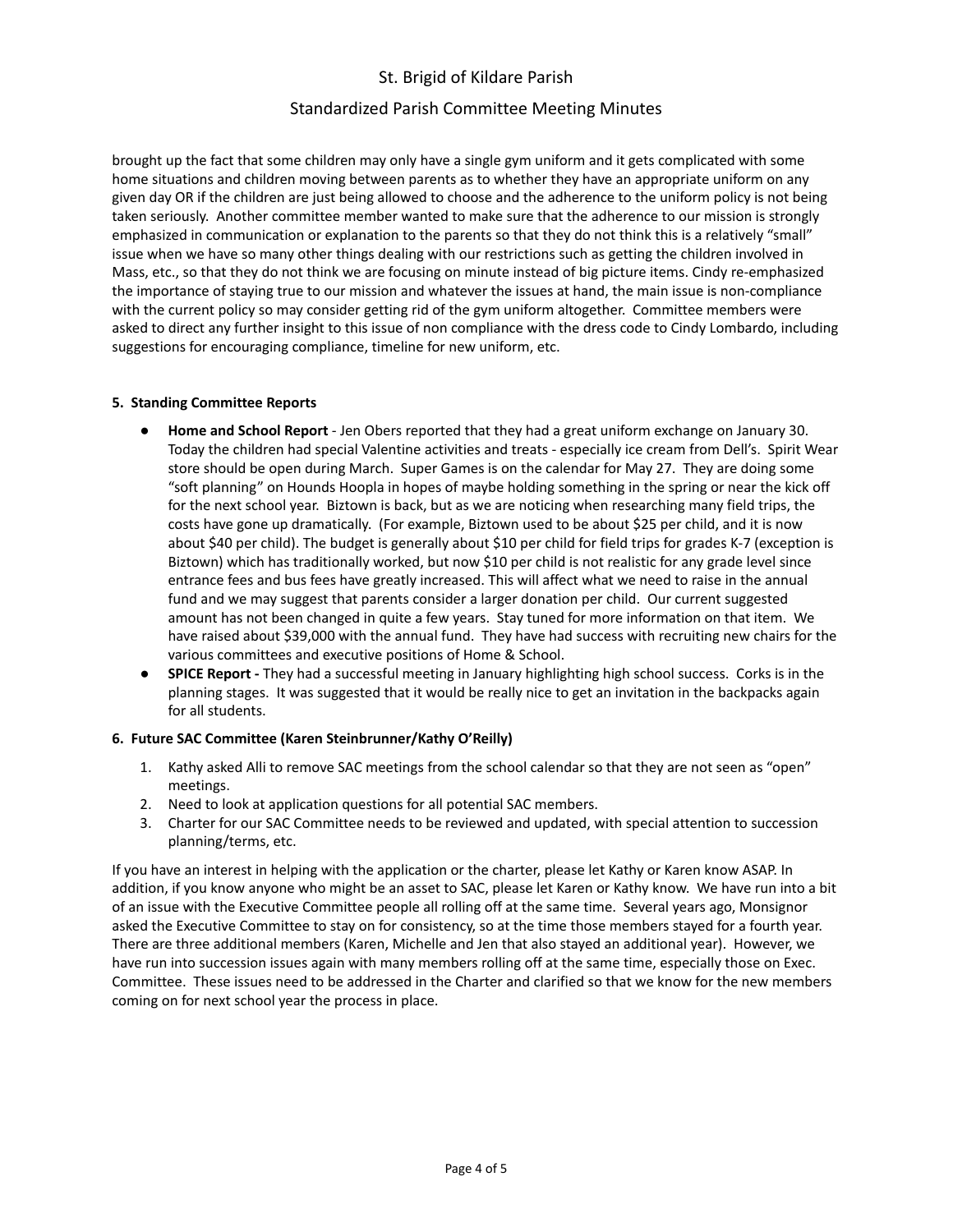### Standardized Parish Committee Meeting Minutes

brought up the fact that some children may only have a single gym uniform and it gets complicated with some home situations and children moving between parents as to whether they have an appropriate uniform on any given day OR if the children are just being allowed to choose and the adherence to the uniform policy is not being taken seriously. Another committee member wanted to make sure that the adherence to our mission is strongly emphasized in communication or explanation to the parents so that they do not think this is a relatively "small" issue when we have so many other things dealing with our restrictions such as getting the children involved in Mass, etc., so that they do not think we are focusing on minute instead of big picture items. Cindy re-emphasized the importance of staying true to our mission and whatever the issues at hand, the main issue is non-compliance with the current policy so may consider getting rid of the gym uniform altogether. Committee members were asked to direct any further insight to this issue of non compliance with the dress code to Cindy Lombardo, including suggestions for encouraging compliance, timeline for new uniform, etc.

#### **5. Standing Committee Reports**

- **Home and School Report** Jen Obers reported that they had a great uniform exchange on January 30. Today the children had special Valentine activities and treats - especially ice cream from Dell's. Spirit Wear store should be open during March. Super Games is on the calendar for May 27. They are doing some "soft planning" on Hounds Hoopla in hopes of maybe holding something in the spring or near the kick off for the next school year. Biztown is back, but as we are noticing when researching many field trips, the costs have gone up dramatically. (For example, Biztown used to be about \$25 per child, and it is now about \$40 per child). The budget is generally about \$10 per child for field trips for grades K-7 (exception is Biztown) which has traditionally worked, but now \$10 per child is not realistic for any grade level since entrance fees and bus fees have greatly increased. This will affect what we need to raise in the annual fund and we may suggest that parents consider a larger donation per child. Our current suggested amount has not been changed in quite a few years. Stay tuned for more information on that item. We have raised about \$39,000 with the annual fund. They have had success with recruiting new chairs for the various committees and executive positions of Home & School.
- **● SPICE Report -** They had a successful meeting in January highlighting high school success. Corks is in the planning stages. It was suggested that it would be really nice to get an invitation in the backpacks again for all students.

### **6. Future SAC Committee (Karen Steinbrunner/Kathy O'Reilly)**

- 1. Kathy asked Alli to remove SAC meetings from the school calendar so that they are not seen as "open" meetings.
- 2. Need to look at application questions for all potential SAC members.
- 3. Charter for our SAC Committee needs to be reviewed and updated, with special attention to succession planning/terms, etc.

If you have an interest in helping with the application or the charter, please let Kathy or Karen know ASAP. In addition, if you know anyone who might be an asset to SAC, please let Karen or Kathy know. We have run into a bit of an issue with the Executive Committee people all rolling off at the same time. Several years ago, Monsignor asked the Executive Committee to stay on for consistency, so at the time those members stayed for a fourth year. There are three additional members (Karen, Michelle and Jen that also stayed an additional year). However, we have run into succession issues again with many members rolling off at the same time, especially those on Exec. Committee. These issues need to be addressed in the Charter and clarified so that we know for the new members coming on for next school year the process in place.